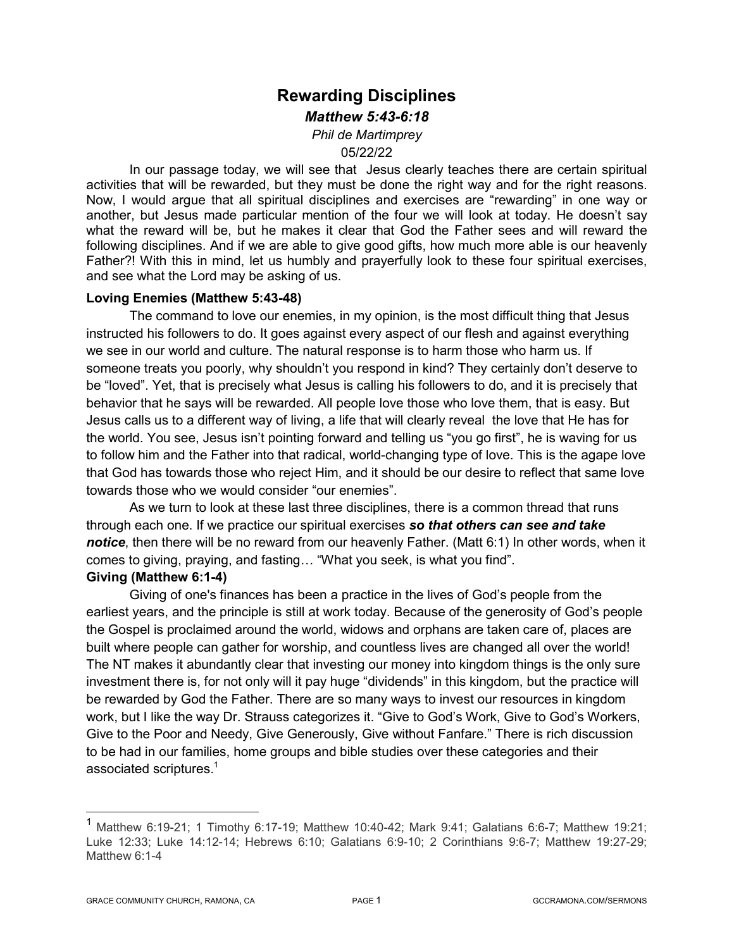# **Rewarding Disciplines**  *Matthew 5:43-6:18 Phil de Martimprey*

05/22/22

In our passage today, we will see that Jesus clearly teaches there are certain spiritual activities that will be rewarded, but they must be done the right way and for the right reasons. Now, I would argue that all spiritual disciplines and exercises are "rewarding" in one way or another, but Jesus made particular mention of the four we will look at today. He doesn't say what the reward will be, but he makes it clear that God the Father sees and will reward the following disciplines. And if we are able to give good gifts, how much more able is our heavenly Father?! With this in mind, let us humbly and prayerfully look to these four spiritual exercises, and see what the Lord may be asking of us.

#### **Loving Enemies (Matthew 5:43-48)**

The command to love our enemies, in my opinion, is the most difficult thing that Jesus instructed his followers to do. It goes against every aspect of our flesh and against everything we see in our world and culture. The natural response is to harm those who harm us. If someone treats you poorly, why shouldn't you respond in kind? They certainly don't deserve to be "loved". Yet, that is precisely what Jesus is calling his followers to do, and it is precisely that behavior that he says will be rewarded. All people love those who love them, that is easy. But Jesus calls us to a different way of living, a life that will clearly reveal the love that He has for the world. You see, Jesus isn't pointing forward and telling us "you go first", he is waving for us to follow him and the Father into that radical, world-changing type of love. This is the agape love that God has towards those who reject Him, and it should be our desire to reflect that same love towards those who we would consider "our enemies".

As we turn to look at these last three disciplines, there is a common thread that runs through each one. If we practice our spiritual exercises *so that others can see and take notice*, then there will be no reward from our heavenly Father. (Matt 6:1) In other words, when it comes to giving, praying, and fasting… "What you seek, is what you find".

#### **Giving (Matthew 6:1-4)**

Giving of one's finances has been a practice in the lives of God's people from the earliest years, and the principle is still at work today. Because of the generosity of God's people the Gospel is proclaimed around the world, widows and orphans are taken care of, places are built where people can gather for worship, and countless lives are changed all over the world! The NT makes it abundantly clear that investing our money into kingdom things is the only sure investment there is, for not only will it pay huge "dividends" in this kingdom, but the practice will be rewarded by God the Father. There are so many ways to invest our resources in kingdom work, but I like the way Dr. Strauss categorizes it. "Give to God's Work, Give to God's Workers, Give to the Poor and Needy, Give Generously, Give without Fanfare." There is rich discussion to be had in our families, home groups and bible studies over these categories and their associated scriptures.<sup>1</sup>

 <sup>1</sup> Matthew 6:19-21; 1 Timothy 6:17-19; Matthew 10:40-42; Mark 9:41; Galatians 6:6-7; Matthew 19:21; Luke 12:33; Luke 14:12-14; Hebrews 6:10; Galatians 6:9-10; 2 Corinthians 9:6-7; Matthew 19:27-29; Matthew 6:1-4